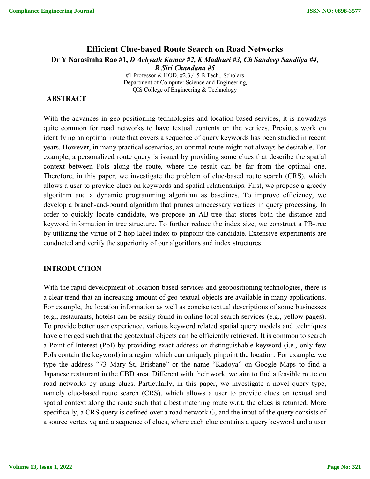# **Efficient Clue-based Route Search on Road Networks Dr Y Narasimha Rao #1,** *D Achyuth Kumar #2, K Madhuri #3, Ch Sandeep Sandilya #4, R Siri Chandana #5*

#1 Professor & HOD, #2,3,4,5 B.Tech., Scholars Department of Computer Science and Engineering*,* QIS College of Engineering & Technology

### **ABSTRACT**

With the advances in geo-positioning technologies and location-based services, it is nowadays quite common for road networks to have textual contents on the vertices. Previous work on identifying an optimal route that covers a sequence of query keywords has been studied in recent years. However, in many practical scenarios, an optimal route might not always be desirable. For example, a personalized route query is issued by providing some clues that describe the spatial context between PoIs along the route, where the result can be far from the optimal one. Therefore, in this paper, we investigate the problem of clue-based route search (CRS), which allows a user to provide clues on keywords and spatial relationships. First, we propose a greedy algorithm and a dynamic programming algorithm as baselines. To improve efficiency, we develop a branch-and-bound algorithm that prunes unnecessary vertices in query processing. In order to quickly locate candidate, we propose an AB-tree that stores both the distance and keyword information in tree structure. To further reduce the index size, we construct a PB-tree by utilizing the virtue of 2-hop label index to pinpoint the candidate. Extensive experiments are conducted and verify the superiority of our algorithms and index structures.

#### **INTRODUCTION**

With the rapid development of location-based services and geopositioning technologies, there is a clear trend that an increasing amount of geo-textual objects are available in many applications. For example, the location information as well as concise textual descriptions of some businesses (e.g., restaurants, hotels) can be easily found in online local search services (e.g., yellow pages). To provide better user experience, various keyword related spatial query models and techniques have emerged such that the geotextual objects can be efficiently retrieved. It is common to search a Point-of-Interest (PoI) by providing exact address or distinguishable keyword (i.e., only few PoIs contain the keyword) in a region which can uniquely pinpoint the location. For example, we type the address "73 Mary St, Brisbane" or the name "Kadoya" on Google Maps to find a Japanese restaurant in the CBD area. Different with their work, we aim to find a feasible route on road networks by using clues. Particularly, in this paper, we investigate a novel query type, namely clue-based route search (CRS), which allows a user to provide clues on textual and spatial context along the route such that a best matching route w.r.t. the clues is returned. More specifically, a CRS query is defined over a road network G, and the input of the query consists of a source vertex vq and a sequence of clues, where each clue contains a query keyword and a user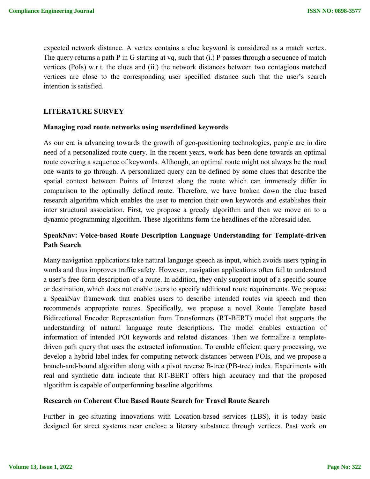expected network distance. A vertex contains a clue keyword is considered as a match vertex. The query returns a path P in G starting at vq, such that (i.) P passes through a sequence of match vertices (PoIs) w.r.t. the clues and (ii.) the network distances between two contagious matched vertices are close to the corresponding user specified distance such that the user's search intention is satisfied.

### **LITERATURE SURVEY**

#### **Managing road route networks using userdefined keywords**

As our era is advancing towards the growth of geo-positioning technologies, people are in dire need of a personalized route query. In the recent years, work has been done towards an optimal route covering a sequence of keywords. Although, an optimal route might not always be the road one wants to go through. A personalized query can be defined by some clues that describe the spatial context between Points of Interest along the route which can immensely differ in comparison to the optimally defined route. Therefore, we have broken down the clue based research algorithm which enables the user to mention their own keywords and establishes their inter structural association. First, we propose a greedy algorithm and then we move on to a dynamic programming algorithm. These algorithms form the headlines of the aforesaid idea.

# **SpeakNav: Voice-based Route Description Language Understanding for Template-driven Path Search**

Many navigation applications take natural language speech as input, which avoids users typing in words and thus improves traffic safety. However, navigation applications often fail to understand a user's free-form description of a route. In addition, they only support input of a specific source or destination, which does not enable users to specify additional route requirements. We propose a SpeakNav framework that enables users to describe intended routes via speech and then recommends appropriate routes. Specifically, we propose a novel Route Template based Bidirectional Encoder Representation from Transformers (RT-BERT) model that supports the understanding of natural language route descriptions. The model enables extraction of information of intended POI keywords and related distances. Then we formalize a templatedriven path query that uses the extracted information. To enable efficient query processing, we develop a hybrid label index for computing network distances between POIs, and we propose a branch-and-bound algorithm along with a pivot reverse B-tree (PB-tree) index. Experiments with real and synthetic data indicate that RT-BERT offers high accuracy and that the proposed algorithm is capable of outperforming baseline algorithms.

#### **Research on Coherent Clue Based Route Search for Travel Route Search**

Further in geo-situating innovations with Location-based services (LBS), it is today basic designed for street systems near enclose a literary substance through vertices. Past work on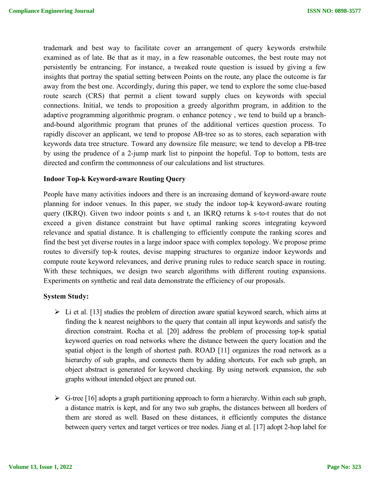trademark and best way to facilitate cover an arrangement of query keywords erstwhile examined as of late. Be that as it may, in a few reasonable outcomes, the best route may not persistently be entrancing. For instance, a tweaked route question is issued by giving a few insights that portray the spatial setting between Points on the route, any place the outcome is far away from the best one. Accordingly, during this paper, we tend to explore the some clue-based route search (CRS) that permit a client toward supply clues on keywords with special connections. Initial, we tends to proposition a greedy algorithm program, in addition to the adaptive programming algorithmic program. o enhance potency , we tend to build up a branchand-bound algorithmic program that prunes of the additional vertices question process. To rapidly discover an applicant, we tend to propose AB-tree so as to stores, each separation with keywords data tree structure. Toward any downsize file measure; we tend to develop a PB-tree by using the prudence of a 2-jump mark list to pinpoint the hopeful. Top to bottom, tests are directed and confirm the commonness of our calculations and list structures.

# **Indoor Top-k Keyword-aware Routing Query**

People have many activities indoors and there is an increasing demand of keyword-aware route planning for indoor venues. In this paper, we study the indoor top-k keyword-aware routing query (IKRQ). Given two indoor points s and t, an IKRQ returns k s-to-t routes that do not exceed a given distance constraint but have optimal ranking scores integrating keyword relevance and spatial distance. It is challenging to efficiently compute the ranking scores and find the best yet diverse routes in a large indoor space with complex topology. We propose prime routes to diversify top-k routes, devise mapping structures to organize indoor keywords and compute route keyword relevances, and derive pruning rules to reduce search space in routing. With these techniques, we design two search algorithms with different routing expansions. Experiments on synthetic and real data demonstrate the efficiency of our proposals.

#### **System Study:**

- $\triangleright$  Li et al. [13] studies the problem of direction aware spatial keyword search, which aims at finding the k nearest neighbors to the query that contain all input keywords and satisfy the direction constraint. Rocha et al. [20] address the problem of processing top-k spatial keyword queries on road networks where the distance between the query location and the spatial object is the length of shortest path. ROAD [11] organizes the road network as a hierarchy of sub graphs, and connects them by adding shortcuts. For each sub graph, an object abstract is generated for keyword checking. By using network expansion, the sub graphs without intended object are pruned out.
- $\triangleright$  G-tree [16] adopts a graph partitioning approach to form a hierarchy. Within each sub graph, a distance matrix is kept, and for any two sub graphs, the distances between all borders of them are stored as well. Based on these distances, it efficiently computes the distance between query vertex and target vertices or tree nodes. Jiang et al. [17] adopt 2-hop label for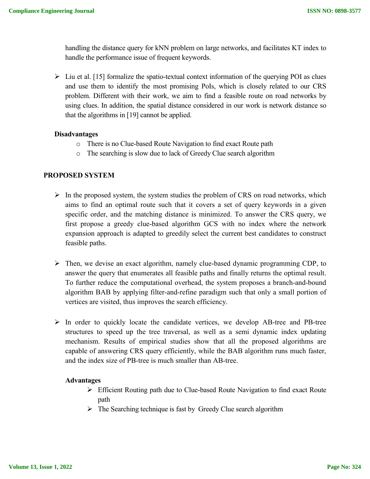handling the distance query for kNN problem on large networks, and facilitates KT index to handle the performance issue of frequent keywords.

 $\triangleright$  Liu et al. [15] formalize the spatio-textual context information of the querying POI as clues and use them to identify the most promising PoIs, which is closely related to our CRS problem. Different with their work, we aim to find a feasible route on road networks by using clues. In addition, the spatial distance considered in our work is network distance so that the algorithms in [19] cannot be applied.

# **Disadvantages**

- o There is no Clue-based Route Navigation to find exact Route path
- o The searching is slow due to lack of Greedy Clue search algorithm

# **PROPOSED SYSTEM**

- $\triangleright$  In the proposed system, the system studies the problem of CRS on road networks, which aims to find an optimal route such that it covers a set of query keywords in a given specific order, and the matching distance is minimized. To answer the CRS query, we first propose a greedy clue-based algorithm GCS with no index where the network expansion approach is adapted to greedily select the current best candidates to construct feasible paths.
- $\triangleright$  Then, we devise an exact algorithm, namely clue-based dynamic programming CDP, to answer the query that enumerates all feasible paths and finally returns the optimal result. To further reduce the computational overhead, the system proposes a branch-and-bound algorithm BAB by applying filter-and-refine paradigm such that only a small portion of vertices are visited, thus improves the search efficiency.
- $\triangleright$  In order to quickly locate the candidate vertices, we develop AB-tree and PB-tree structures to speed up the tree traversal, as well as a semi dynamic index updating mechanism. Results of empirical studies show that all the proposed algorithms are capable of answering CRS query efficiently, while the BAB algorithm runs much faster, and the index size of PB-tree is much smaller than AB-tree.

# **Advantages**

- Efficient Routing path due to Clue-based Route Navigation to find exact Route path
- $\triangleright$  The Searching technique is fast by Greedy Clue search algorithm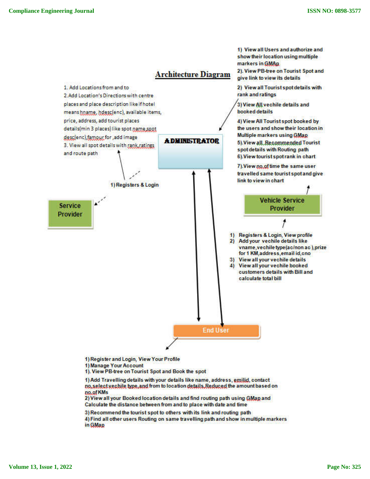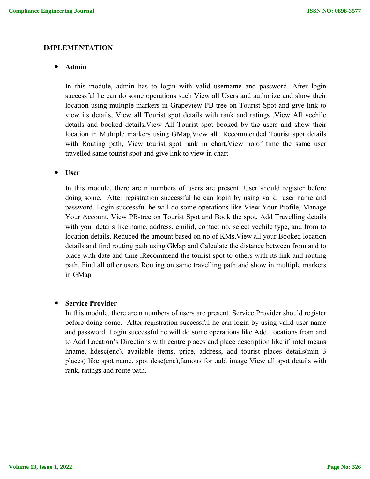# **IMPLEMENTATION**

#### **Admin**

In this module, admin has to login with valid username and password. After login successful he can do some operations such View all Users and authorize and show their location using multiple markers in Grapeview PB-tree on Tourist Spot and give link to view its details, View all Tourist spot details with rank and ratings ,View All vechile details and booked details,View All Tourist spot booked by the users and show their location in Multiple markers using GMap,View all Recommended Tourist spot details with Routing path, View tourist spot rank in chart,View no.of time the same user travelled same tourist spot and give link to view in chart

# **User**

In this module, there are n numbers of users are present. User should register before doing some. After registration successful he can login by using valid user name and password. Login successful he will do some operations like View Your Profile, Manage Your Account, View PB-tree on Tourist Spot and Book the spot, Add Travelling details with your details like name, address, emilid, contact no, select vechile type, and from to location details, Reduced the amount based on no.of KMs,View all your Booked location details and find routing path using GMap and Calculate the distance between from and to place with date and time ,Recommend the tourist spot to others with its link and routing path, Find all other users Routing on same travelling path and show in multiple markers in GMap.

# **Service Provider**

In this module, there are n numbers of users are present. Service Provider should register before doing some. After registration successful he can login by using valid user name and password. Login successful he will do some operations like Add Locations from and to Add Location's Directions with centre places and place description like if hotel means hname, hdesc(enc), available items, price, address, add tourist places details(min 3 places) like spot name, spot desc(enc),famous for ,add image View all spot details with rank, ratings and route path.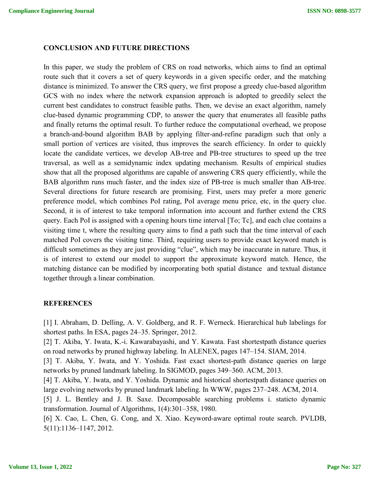#### **CONCLUSION AND FUTURE DIRECTIONS**

In this paper, we study the problem of CRS on road networks, which aims to find an optimal route such that it covers a set of query keywords in a given specific order, and the matching distance is minimized. To answer the CRS query, we first propose a greedy clue-based algorithm GCS with no index where the network expansion approach is adopted to greedily select the current best candidates to construct feasible paths. Then, we devise an exact algorithm, namely clue-based dynamic programming CDP, to answer the query that enumerates all feasible paths and finally returns the optimal result. To further reduce the computational overhead, we propose a branch-and-bound algorithm BAB by applying filter-and-refine paradigm such that only a small portion of vertices are visited, thus improves the search efficiency. In order to quickly locate the candidate vertices, we develop AB-tree and PB-tree structures to speed up the tree traversal, as well as a semidynamic index updating mechanism. Results of empirical studies show that all the proposed algorithms are capable of answering CRS query efficiently, while the BAB algorithm runs much faster, and the index size of PB-tree is much smaller than AB-tree. Several directions for future research are promising. First, users may prefer a more generic preference model, which combines PoI rating, PoI average menu price, etc, in the query clue. Second, it is of interest to take temporal information into account and further extend the CRS query. Each PoI is assigned with a opening hours time interval [To; Tc], and each clue contains a visiting time t, where the resulting query aims to find a path such that the time interval of each matched PoI covers the visiting time. Third, requiring users to provide exact keyword match is difficult sometimes as they are just providing "clue", which may be inaccurate in nature. Thus, it is of interest to extend our model to support the approximate keyword match. Hence, the matching distance can be modified by incorporating both spatial distance and textual distance together through a linear combination.

#### **REFERENCES**

[1] I. Abraham, D. Delling, A. V. Goldberg, and R. F. Werneck. Hierarchical hub labelings for shortest paths. In ESA, pages 24–35. Springer, 2012.

[2] T. Akiba, Y. Iwata, K.-i. Kawarabayashi, and Y. Kawata. Fast shortestpath distance queries on road networks by pruned highway labeling. In ALENEX, pages 147–154. SIAM, 2014.

[3] T. Akiba, Y. Iwata, and Y. Yoshida. Fast exact shortest-path distance queries on large networks by pruned landmark labeling. In SIGMOD, pages 349–360. ACM, 2013.

[4] T. Akiba, Y. Iwata, and Y. Yoshida. Dynamic and historical shortestpath distance queries on large evolving networks by pruned landmark labeling. In WWW, pages 237–248. ACM, 2014.

[5] J. L. Bentley and J. B. Saxe. Decomposable searching problems i. staticto dynamic transformation. Journal of Algorithms, 1(4):301–358, 1980.

[6] X. Cao, L. Chen, G. Cong, and X. Xiao. Keyword-aware optimal route search. PVLDB, 5(11):1136–1147, 2012.